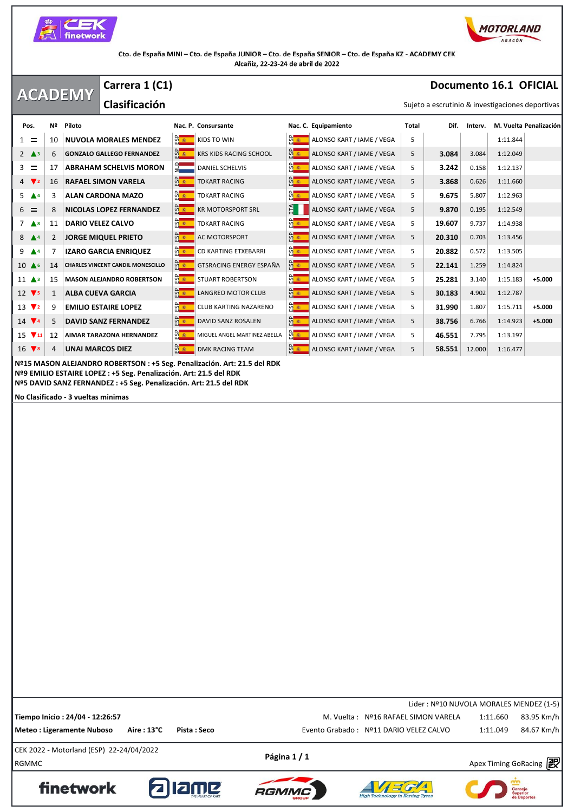



## **ACADEMY Documento 16.1 OFICIAL** Sujeto a escrutinio & investigaciones deportivas **Carrera 1 (C1) Clasificación Pos.** Nº Piloto Nac. P. Consursante Nac. C. Equipamiento Nac. C. Equipamiento Total Dif. Interv. M. Vuelta Penalización<br>
Pos. Nº Piloto Nac. P. Consursante Nac. C. Equipamiento Total Dif. Interv. M. Vuelta Penalización  $1 = 10$  **NUVOLA MORALES MENDEZ**  $\frac{10}{11}$  **KIDS TO WIN**  $\frac{10}{11}$  **ALONSO KART** / IAME / VEGA 5 1:11.844 2 **△**<sup>3</sup> 6 **GONZALO GALLEGO FERNANDEZ KRS KIDS RACING SCHOOL ALONSO KART / IAME / VEGA** 5 **3.084** 3.084 1:12.049  $\frac{3}{2}$  17 **ABRAHAM SCHELVIS MORON**  $\frac{1}{2}$  DANIEL SCHELVIS **ALONSO KART / IAME / VEGA** 5 **3.242** 0.158 1:12.137 **4 <b>7** 2 16 **RAFAEL SIMON VARELA Report ALCING ALONSO KART / IAME / VEGA** 5 **3.868** 0.626 1:11.660 5 **4** 3 **ALAN CARDONA MAZO R EXART RACING CONSOMAT ALONSO KART / IAME / VEGA** 5 **9.675** 5.807 1:12.963 6 8 **NICOLAS LOPEZ FERNANDEZ** KR MOTORSPORT SRL ALONSO KART / IAME / VEGA 5 **9.870** 0.195 1:12.549 7 **A** <sup>8</sup> 11 **DARIO VELEZ CALVO R B B TOKART RACING C C C C ALONSO KART / IAME / VEGA** 5 **19.607** 9.737 1:14.938 8 **▲** 2 **JORGE MIQUEL PRIETO** ac MOTORSPORT **ALLONSO KART / IAME / VEGA** 5 **20.310** 0.703 1:13.456 9 ▲4 7 **IZARO GARCIA ENRIQUEZ Reserve ARTING ETXEBARRI Reserve ALONSO KART / IAME / VEGA 5 <b>20.882** 0.572 1:13.505 10 **▲**6 14 **CHARLES VINCENT CANDIL MONESCILLO GENERGY ESPAÑA GENERGY ESPAÑA** ALONSO KART / IAME / VEGA 5 **22.141** 1.259 1:14.824 11 **<sup>3</sup>** 15 **MASON ALEJANDRO ROBERTSON** STUART ROBERTSON ALONSO KART / IAME / VEGA 5 **25.281** 3.140 1:15.183 **+5.000** 12 **7** 5 1 **ALBA CUEVA GARCIA ALONGREO MOTOR CLUB ALONSO KART / IAME / VEGA** 5 **30.183** 4.902 1:12.787 13 **<sup>2</sup>** 9 **EMILIO ESTAIRE LOPEZ** CLUB KARTING NAZARENO ALONSO KART / IAME / VEGA 5 **31.990** 1.807 1:15.711 **+5.000** 14 **<sup>4</sup>** 5 **DAVID SANZ FERNANDEZ** DAVID SANZ ROSALEN ALONSO KART / IAME / VEGA 5 **38.756** 6.766 1:14.923 **+5.000** 15 **11** 12 **AIMAR TARAZONA HERNANDEZ MIGUEL ANGEL MARTINEZ ABELLA CONSO KART / IAME / VEGA** 5 **46.551** 7.795 1:13.197 16 **78** 4 **UNAI MARCOS DIEZ ALONSO KART / IAME / VEGA** 5 **58.551** 12.000 1:16.477 **Nº15 MASON ALEJANDRO ROBERTSON : +5 Seg. Penalización. Art: 21.5 del RDK Nº9 EMILIO ESTAIRE LOPEZ : +5 Seg. Penalización. Art: 21.5 del RDK Nº5 DAVID SANZ FERNANDEZ : +5 Seg. Penalización. Art: 21.5 del RDK No Clasificado - 3 vueltas minimas**

 $P\text{ágina 1 / 1}$ <br>RGMMC Apex Timing GoRacing  $\mathbb{R}^3$ CEK 2022 - Motorland (ESP) 22-24/04/2022 Lider : Nº10 NUVOLA MORALES MENDEZ (1-5) **Tiempo Inicio : 24/04 - 12:26:57** M. Vuelta : Nº16 RAFAEL SIMON VARELA 83.95 Km/h **Meteo : Ligeramente Nuboso Aire : 13°C Pista : Seco** Evento Grabado : Nº11 DARIO VELEZ CALVO 1:11.049 84.67 Km/h









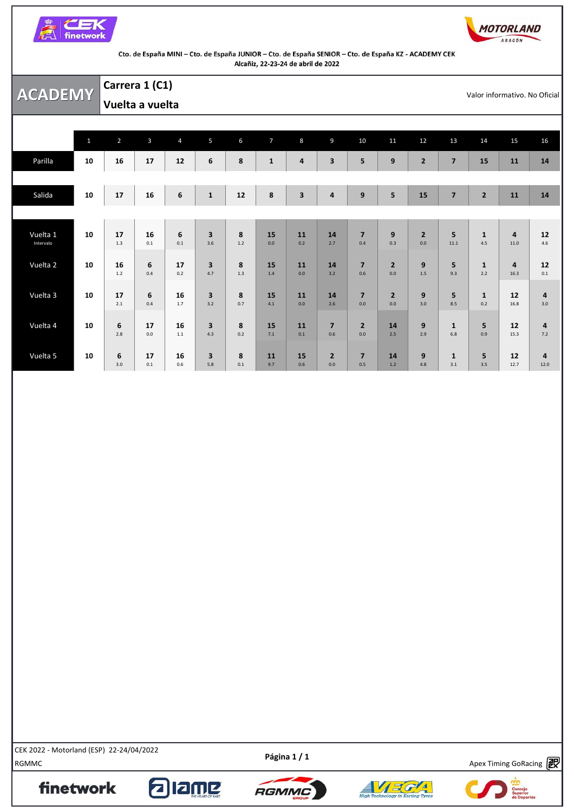



|                       |              | Carrera 1 (C1) |                 |                 |                                |            |                |                         |                         |                       |                         |                         |                     |                     |                        | Valor informativo. No Oficial  |
|-----------------------|--------------|----------------|-----------------|-----------------|--------------------------------|------------|----------------|-------------------------|-------------------------|-----------------------|-------------------------|-------------------------|---------------------|---------------------|------------------------|--------------------------------|
| <b>ACADEMY</b>        |              |                | Vuelta a vuelta |                 |                                |            |                |                         |                         |                       |                         |                         |                     |                     |                        |                                |
|                       |              |                |                 |                 |                                |            |                |                         |                         |                       |                         |                         |                     |                     |                        |                                |
|                       | $\mathbf{1}$ | $\overline{2}$ | $\overline{3}$  | $\overline{4}$  | 5                              | 6          | $\overline{7}$ | 8                       | 9                       | 10                    | 11                      | 12                      | 13                  | 14                  | 15                     | 16                             |
| Parilla               | 10           | 16             | 17              | 12              | 6                              | 8          | $\mathbf{1}$   | 4                       | $\overline{\mathbf{3}}$ | 5                     | 9                       | $\overline{2}$          | $\overline{7}$      | 15                  | 11                     | 14                             |
|                       |              |                |                 |                 |                                |            |                |                         |                         |                       |                         |                         |                     |                     |                        |                                |
| Salida                | 10           | 17             | 16              | $6\phantom{1}6$ | $\mathbf{1}$                   | 12         | 8              | $\overline{\mathbf{3}}$ | $\pmb{4}$               | 9                     | $\overline{\mathbf{5}}$ | 15                      | $\overline{7}$      | $\overline{2}$      | 11                     | 14                             |
|                       |              |                |                 |                 |                                |            |                |                         |                         |                       |                         |                         |                     |                     |                        |                                |
| Vuelta 1<br>Intervalo | 10           | 17<br>$1.3$    | 16<br>0.1       | 6<br>0.1        | $\overline{\mathbf{3}}$<br>3.6 | 8<br>$1.2$ | 15<br>0.0      | 11<br>0.2               | 14<br>2.7               | $\overline{7}$<br>0.4 | $\boldsymbol{9}$<br>0.3 | $\overline{2}$<br>0.0   | 5<br>11.1           | $\mathbf{1}$<br>4.5 | $\overline{4}$<br>11.0 | 12<br>4.6                      |
| Vuelta 2              | 10           | 16<br>$1.2$    | 6<br>0.4        | 17<br>0.2       | 3<br>4.7                       | 8<br>1.3   | 15<br>1.4      | 11<br>0.0               | 14<br>3.2               | $\overline{7}$<br>0.6 | $\overline{2}$<br>0.0   | 9<br>1.5                | 5<br>9.3            | $\mathbf{1}$<br>2.2 | $\overline{a}$<br>16.3 | 12<br>0.1                      |
| Vuelta 3              | 10           | 17<br>2.1      | 6<br>0.4        | 16<br>1.7       | $\overline{\mathbf{3}}$<br>3.2 | 8<br>0.7   | 15<br>4.1      | 11<br>0.0               | 14<br>2.6               | $\overline{7}$<br>0.0 | $\overline{2}$<br>0.0   | 9<br>3.0                | 5<br>8.5            | $\mathbf{1}$<br>0.2 | 12<br>16.8             | $\overline{a}$<br>3.0          |
| Vuelta 4              | 10           | 6<br>2.8       | 17<br>0.0       | 16<br>1.1       | $\overline{\mathbf{3}}$<br>4.3 | 8<br>0.2   | 15<br>7.1      | 11<br>0.1               | $\overline{7}$<br>0.6   | $\overline{2}$<br>0.0 | 14<br>2.5               | $\boldsymbol{9}$<br>2.9 | $\mathbf{1}$<br>6.8 | 5<br>0.9            | 12<br>15.3             | $\overline{\mathbf{a}}$<br>7.2 |
| Vuelta 5              | 10           | 6<br>3.0       | 17<br>0.1       | 16<br>0.6       | 3<br>5.8                       | 8<br>0.1   | 11<br>9.7      | 15<br>0.6               | $\overline{2}$<br>0.0   | $\overline{7}$<br>0.5 | 14<br>1.2               | 9<br>4.8                | $\mathbf{1}$<br>3.1 | 5<br>3.5            | 12<br>12.7             | 4<br>12.0                      |

EEN 2022 - MOLOHAINI (ESP) 22-24/04/2022<br>RGMMC Apex Timing GoRacing **PO** CEK 2022 - Motorland (ESP) 22-24/04/2022

finetwork

Apex Timing - drive your success https://www.apex-timing.com/

alang





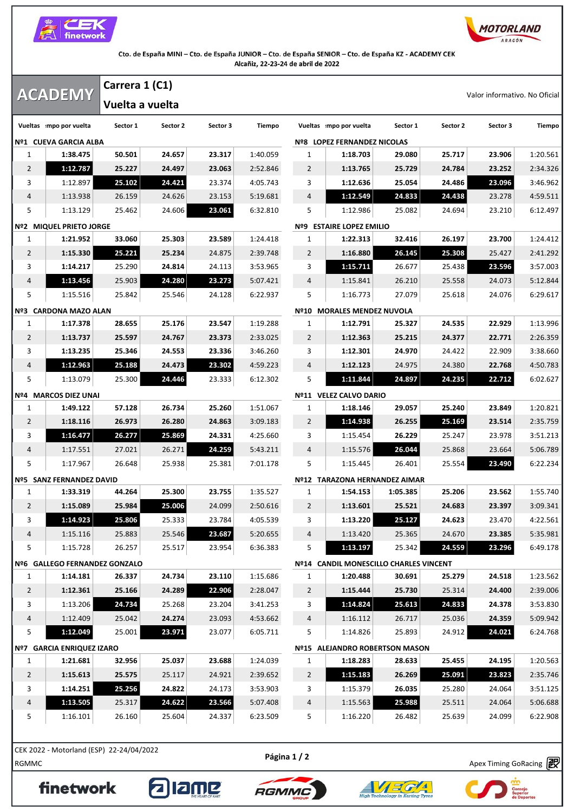



|          | Valor informativo. No Oficial |          |          |                                        |                |          |          | Carrera 1 (C1) |                 | <b>ACADEMY</b>                |                |
|----------|-------------------------------|----------|----------|----------------------------------------|----------------|----------|----------|----------------|-----------------|-------------------------------|----------------|
|          |                               |          |          |                                        |                |          |          |                | Vuelta a vuelta |                               |                |
| Tiempo   | Sector 3                      | Sector 2 | Sector 1 | Vueltas mpo por vuelta                 |                | Tiempo   | Sector 3 | Sector 2       | Sector 1        | Vueltas mpo por vuelta        |                |
|          |                               |          |          | Nº8 LOPEZ FERNANDEZ NICOLAS            |                |          |          |                |                 | Nº1 CUEVA GARCIA ALBA         |                |
| 1:20.561 | 23.906                        | 25.717   | 29.080   | 1:18.703                               | 1              | 1:40.059 | 23.317   | 24.657         | 50.501          | 1:38.475                      | 1              |
| 2:34.326 | 23.252                        | 24.784   | 25.729   | 1:13.765                               | $\overline{2}$ | 2:52.846 | 23.063   | 24.497         | 25.227          | 1:12.787                      | 2              |
| 3:46.962 | 23.096                        | 24.486   | 25.054   | 1:12.636                               | 3              | 4:05.743 | 23.374   | 24.421         | 25.102          | 1:12.897                      | 3              |
| 4:59.511 | 23.278                        | 24.438   | 24.833   | 1:12.549                               | 4              | 5:19.681 | 23.153   | 24.626         | 26.159          | 1:13.938                      | 4              |
| 6:12.497 | 23.210                        | 24.694   | 25.082   | 1:12.986                               | 5              | 6:32.810 | 23.061   | 24.606         | 25.462          | 1:13.129                      | 5              |
|          |                               |          |          | <b>Nº9 ESTAIRE LOPEZ EMILIO</b>        |                |          |          |                |                 | Nº2 MIQUEL PRIETO JORGE       |                |
| 1:24.412 | 23.700                        | 26.197   | 32.416   | 1:22.313                               | $\mathbf{1}$   | 1:24.418 | 23.589   | 25.303         | 33.060          | 1:21.952                      | $\mathbf{1}$   |
| 2:41.292 | 25.427                        | 25.308   | 26.145   | 1:16.880                               | 2              | 2:39.748 | 24.875   | 25.234         | 25.221          | 1:15.330                      | 2              |
| 3:57.003 | 23.596                        | 25.438   | 26.677   | 1:15.711                               | 3              | 3:53.965 | 24.113   | 24.814         | 25.290          | 1:14.217                      | 3              |
| 5:12.844 | 24.073                        | 25.558   | 26.210   | 1:15.841                               | 4              | 5:07.421 | 23.273   | 24.280         | 25.903          | 1:13.456                      | 4              |
| 6:29.617 | 24.076                        | 25.618   | 27.079   | 1:16.773                               | 5              | 6:22.937 | 24.128   | 25.546         | 25.842          | 1:15.516                      | 5              |
|          |                               |          |          | Nº10 MORALES MENDEZ NUVOLA             |                |          |          |                |                 | Nº3 CARDONA MAZO ALAN         |                |
| 1:13.996 | 22.929                        | 24.535   | 25.327   | 1:12.791                               | 1              | 1:19.288 | 23.547   | 25.176         | 28.655          | 1:17.378                      | 1              |
| 2:26.359 | 22.771                        | 24.377   | 25.215   | 1:12.363                               | 2              | 2:33.025 | 23.373   | 24.767         | 25.597          | 1:13.737                      | 2              |
| 3:38.660 | 22.909                        | 24.422   | 24.970   | 1:12.301                               | 3              | 3:46.260 | 23.336   | 24.553         | 25.346          | 1:13.235                      | 3              |
| 4:50.783 | 22.768                        | 24.380   | 24.975   | 1:12.123                               | 4              | 4:59.223 | 23.302   | 24.473         | 25.188          | 1:12.963                      | 4              |
| 6:02.627 | 22.712                        | 24.235   | 24.897   | 1:11.844                               | 5              | 6:12.302 | 23.333   | 24.446         | 25.300          | 1:13.079                      | 5              |
|          |                               |          |          | Nº11 VELEZ CALVO DARIO                 |                |          |          |                |                 | Nº4 MARCOS DIEZ UNAI          |                |
| 1:20.821 | 23.849                        | 25.240   | 29.057   | 1:18.146                               | 1              | 1:51.067 | 25.260   | 26.734         | 57.128          | 1:49.122                      | 1              |
| 2:35.759 | 23.514                        | 25.169   | 26.255   | 1:14.938                               | $\overline{2}$ | 3:09.183 | 24.863   | 26.280         | 26.973          | 1:18.116                      | 2              |
| 3:51.213 | 23.978                        | 25.247   | 26.229   | 1:15.454                               | 3              | 4:25.660 | 24.331   | 25.869         | 26.277          | 1:16.477                      | 3              |
| 5:06.789 | 23.664                        | 25.868   | 26.044   | 1:15.576                               | 4              | 5:43.211 | 24.259   | 26.271         | 27.021          | 1:17.551                      | 4              |
| 6:22.234 | 23.490                        | 25.554   | 26.401   | 1:15.445                               | 5              | 7:01.178 | 25.381   | 25.938         | 26.648          | 1:17.967                      | 5              |
|          |                               |          |          | Nº12 TARAZONA HERNANDEZ AIMAR          |                |          |          |                |                 | Nº5 SANZ FERNANDEZ DAVID      |                |
| 1:55.740 | 23.562                        | 25.206   | 1:05.385 | 1:54.153                               | 1              | 1:35.527 | 23.755   | 25.300         | 44.264          | 1:33.319                      | 1              |
| 3:09.341 | 23.397                        | 24.683   | 25.521   | 1:13.601                               | $\overline{2}$ | 2:50.616 | 24.099   | 25.006         | 25.984          | 1:15.089                      | 2              |
| 4:22.561 | 23.470                        | 24.623   | 25.127   | 1:13.220                               | 3              | 4:05.539 | 23.784   | 25.333         | 25.806          | 1:14.923                      | 3              |
| 5:35.981 | 23.385                        | 24.670   | 25.365   | 1:13.420                               | 4              | 5:20.655 | 23.687   | 25.546         | 25.883          | 1:15.116                      | 4              |
| 6:49.178 | 23.296                        | 24.559   | 25.342   | 1:13.197                               | 5              | 6:36.383 | 23.954   | 25.517         | 26.257          | 1:15.728                      | 5              |
|          |                               |          |          | Nº14 CANDIL MONESCILLO CHARLES VINCENT |                |          |          |                |                 | Nº6 GALLEGO FERNANDEZ GONZALO |                |
| 1:23.562 | 24.518                        | 25.279   | 30.691   | 1:20.488                               | $\mathbf{1}$   | 1:15.686 | 23.110   | 24.734         | 26.337          | 1:14.181                      | 1              |
| 2:39.006 | 24.400                        | 25.314   | 25.730   | 1:15.444                               | $\overline{2}$ | 2:28.047 | 22.906   | 24.289         | 25.166          | 1:12.361                      | $\overline{2}$ |
| 3:53.830 | 24.378                        | 24.833   | 25.613   | 1:14.824                               | 3              | 3:41.253 | 23.204   | 25.268         | 24.734          | 1:13.206                      | 3              |
| 5:09.942 | 24.359                        | 25.036   | 26.717   | 1:16.112                               | 4              | 4:53.662 | 23.093   | 24.274         | 25.042          | 1:12.409                      | 4              |
| 6:24.768 | 24.021                        | 24.912   | 25.893   | 1:14.826                               | 5              | 6:05.711 | 23.077   | 23.971         | 25.001          | 1:12.049                      | 5              |
|          |                               |          |          | Nº15 ALEJANDRO ROBERTSON MASON         |                |          |          |                |                 | Nº7 GARCIA ENRIQUEZ IZARO     |                |
| 1:20.563 | 24.195                        | 25.455   | 28.633   | 1:18.283                               | $\mathbf{1}$   | 1:24.039 | 23.688   | 25.037         | 32.956          | 1:21.681                      | 1              |
| 2:35.746 | 23.823                        | 25.091   | 26.269   | 1:15.183                               | $\overline{2}$ | 2:39.652 | 24.921   | 25.117         | 25.575          | 1:15.613                      | $\overline{2}$ |
| 3:51.125 | 24.064                        | 25.280   | 26.035   | 1:15.379                               | 3              | 3:53.903 | 24.173   | 24.822         | 25.256          | 1:14.251                      | 3              |
| 5:06.688 | 24.064                        | 25.511   | 25.988   | 1:15.563                               | 4              | 5:07.408 | 23.566   | 24.622         | 25.317          | 1:13.505                      | 4              |
| 6:22.908 | 24.099                        | 25.639   | 26.482   | 1:16.220                               | 5              | 6:23.509 | 24.337   | 25.604         | 26.160          | 1:16.101                      | 5              |
|          |                               |          |          |                                        |                |          |          |                |                 |                               |                |

RGMMC Apex Timing GoRacing

finetwork







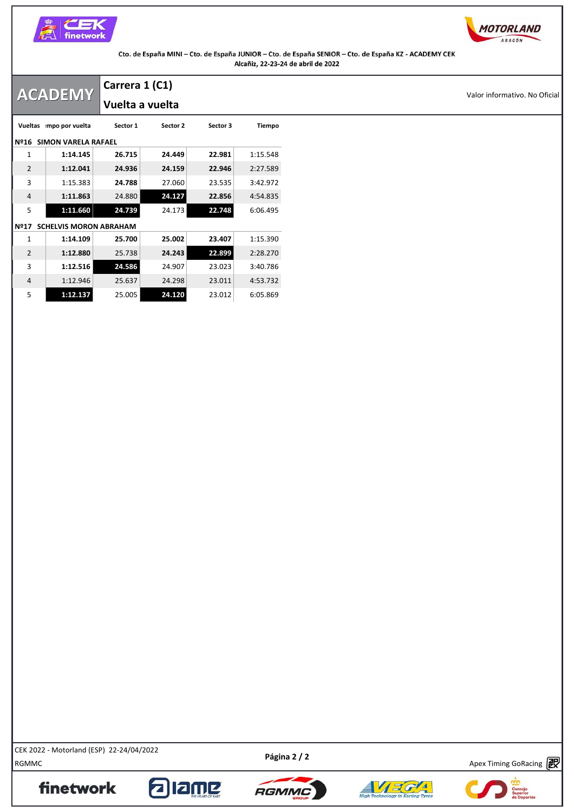



|                | <b>ACADEMY</b>                | Carrera 1 (C1)  |          |          |          |
|----------------|-------------------------------|-----------------|----------|----------|----------|
|                |                               | Vuelta a vuelta |          |          |          |
|                | Vueltas mpo por vuelta        | Sector 1        | Sector 2 | Sector 3 | Tiempo   |
|                | Nº16 SIMON VARELA RAFAEL      |                 |          |          |          |
| 1              | 1:14.145                      | 26.715          | 24.449   | 22.981   | 1:15.548 |
| $\overline{2}$ | 1:12.041                      | 24.936          | 24.159   | 22.946   | 2:27.589 |
| 3              | 1:15.383                      | 24.788          | 27.060   | 23.535   | 3:42.972 |
| $\overline{4}$ | 1:11.863                      | 24.880          | 24.127   | 22.856   | 4:54.835 |
| 5              | 1:11.660                      | 24.739          | 24.173   | 22.748   | 6:06.495 |
| <b>Nº17</b>    | <b>SCHELVIS MORON ABRAHAM</b> |                 |          |          |          |
| 1              | 1:14.109                      | 25.700          | 25.002   | 23.407   | 1:15.390 |
| $\overline{2}$ | 1:12.880                      | 25.738          | 24.243   | 22.899   | 2:28.270 |
| 3              | 1:12.516                      | 24.586          | 24.907   | 23.023   | 3:40.786 |
| $\overline{4}$ | 1:12.946                      | 25.637          | 24.298   | 23.011   | 4:53.732 |
| 5              | 1:12.137                      | 25.005          | 24.120   | 23.012   | 6:05.869 |

RGMMC<br>RGMMC Apex Timing GoRacing (2007) 22-24/04/2022<br>RGMMC CEK 2022 - Motorland (ESP) 22-24/04/2022

finetwork

Apex Timing - drive your success https://www.apex-timing.com/

**alame**